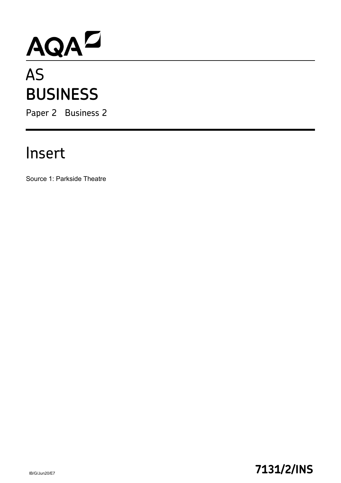# AQA<sup>D</sup>

# **BUSINESS**

Paper 2 Business 2

## Insert

Source 1: Parkside Theatre

### IB/G/Jun20/E7 **7131/2/INS**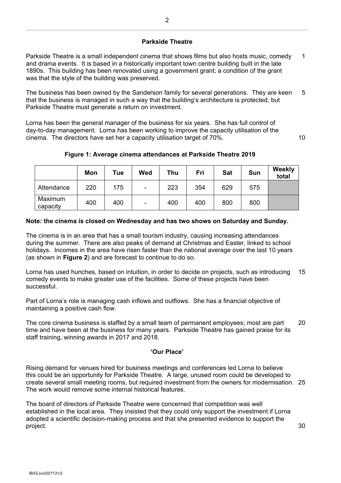#### **Parkside Theatre**

Parkside Theatre is a small independent cinema that shows films but also hosts music, comedy and drama events. It is based in a historically important town centre building built in the late 1890s. This building has been renovated using a government grant; a condition of the grant was that the style of the building was preserved. 1

The business has been owned by the Sanderson family for several generations. They are keen that the business is managed in such a way that the building's architecture is protected, but Parkside Theatre must generate a return on investment. 5

Lorna has been the general manager of the business for six years. She has full control of day-to-day management. Lorna has been working to improve the capacity utilisation of the cinema. The directors have set her a capacity utilisation target of 70%.

#### **Figure 1: Average cinema attendances at Parkside Theatre 2019**

|                     | Mon | Tue | Wed                      | <b>Thu</b> | Fri | <b>Sat</b> | <b>Sun</b> | Weekly<br>total |
|---------------------|-----|-----|--------------------------|------------|-----|------------|------------|-----------------|
| Attendance          | 220 | 175 | $\blacksquare$           | 223        | 354 | 629        | 575        |                 |
| Maximum<br>capacity | 400 | 400 | $\overline{\phantom{a}}$ | 400        | 400 | 800        | 800        |                 |

#### **Note: the cinema is closed on Wednesday and has two shows on Saturday and Sunday.**

The cinema is in an area that has a small tourism industry, causing increasing attendances during the summer. There are also peaks of demand at Christmas and Easter, linked to school holidays. Incomes in the area have risen faster than the national average over the last 10 years (as shown in **Figure 2**) and are forecast to continue to do so.

Lorna has used hunches, based on intuition, in order to decide on projects, such as introducing comedy events to make greater use of the facilities. Some of these projects have been successful. 15

Part of Lorna's role is managing cash inflows and outflows. She has a financial objective of maintaining a positive cash flow.

The core cinema business is staffed by a small team of permanent employees; most are part time and have been at the business for many years. Parkside Theatre has gained praise for its staff training, winning awards in 2017 and 2018. 20

#### **'Our Place'**

Rising demand for venues hired for business meetings and conferences led Lorna to believe this could be an opportunity for Parkside Theatre. A large, unused room could be developed to create several small meeting rooms, but required investment from the owners for modernisation. 25 The work would remove some internal historical features.

The board of directors of Parkside Theatre were concerned that competition was well established in the local area. They insisted that they could only support the investment if Lorna adopted a scientific decision-making process and that she presented evidence to support the project.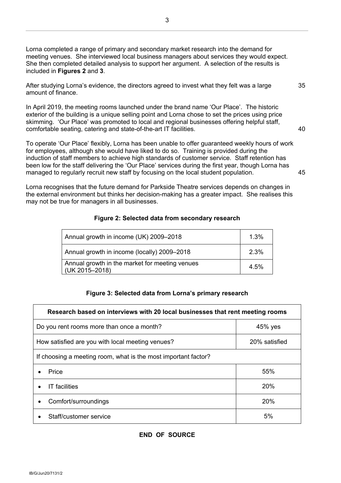Lorna completed a range of primary and secondary market research into the demand for meeting venues. She interviewed local business managers about services they would expect. She then completed detailed analysis to support her argument. A selection of the results is included in **Figures 2** and **3**.

After studying Lorna's evidence, the directors agreed to invest what they felt was a large amount of finance.

In April 2019, the meeting rooms launched under the brand name 'Our Place'. The historic exterior of the building is a unique selling point and Lorna chose to set the prices using price skimming. 'Our Place' was promoted to local and regional businesses offering helpful staff, comfortable seating, catering and state-of-the-art IT facilities.

To operate 'Our Place' flexibly, Lorna has been unable to offer guaranteed weekly hours of work for employees, although she would have liked to do so. Training is provided during the induction of staff members to achieve high standards of customer service. Staff retention has been low for the staff delivering the 'Our Place' services during the first year, though Lorna has managed to regularly recruit new staff by focusing on the local student population. 45

Lorna recognises that the future demand for Parkside Theatre services depends on changes in the external environment but thinks her decision-making has a greater impact. She realises this may not be true for managers in all businesses.

#### **Figure 2: Selected data from secondary research**

| Annual growth in income (UK) 2009-2018                           | 1.3% |  |
|------------------------------------------------------------------|------|--|
| Annual growth in income (locally) 2009-2018                      | 2.3% |  |
| Annual growth in the market for meeting venues<br>(UK 2015-2018) |      |  |

#### **Figure 3: Selected data from Lorna's primary research**

| Research based on interviews with 20 local businesses that rent meeting rooms |               |  |  |  |  |
|-------------------------------------------------------------------------------|---------------|--|--|--|--|
| Do you rent rooms more than once a month?                                     | 45% yes       |  |  |  |  |
| How satisfied are you with local meeting venues?                              | 20% satisfied |  |  |  |  |
| If choosing a meeting room, what is the most important factor?                |               |  |  |  |  |
| Price                                                                         | 55%           |  |  |  |  |
| <b>IT</b> facilities                                                          | 20%           |  |  |  |  |
| Comfort/surroundings                                                          | 20%           |  |  |  |  |
| Staff/customer service                                                        | 5%            |  |  |  |  |

35

40